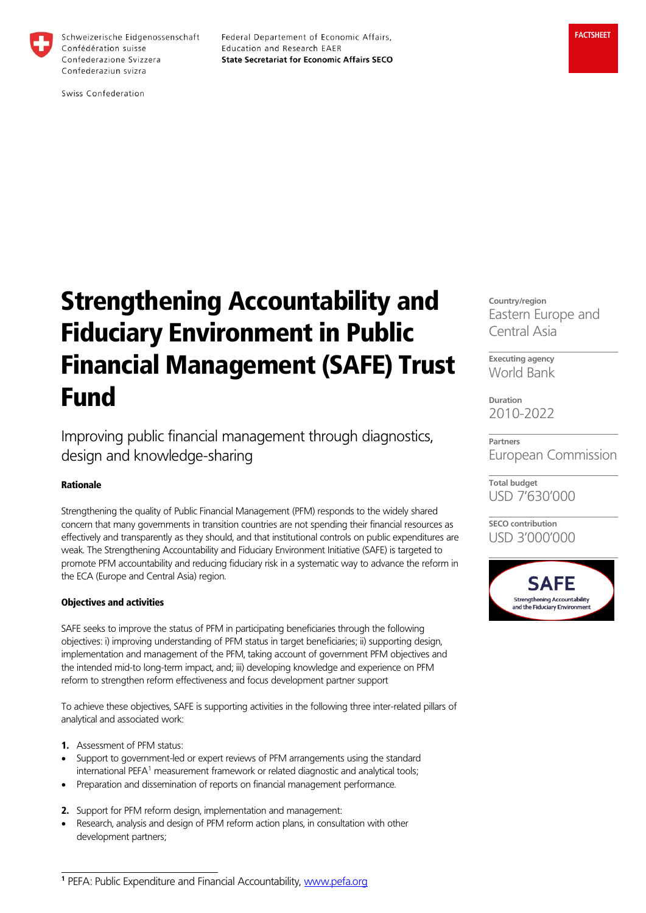

Schweizerische Eidgenossenschaft Confédération suisse Confederazione Svizzera Confederaziun svizra

Federal Departement of Economic Affairs, Education and Research EAER **State Secretariat for Economic Affairs SECO** 

Swiss Confederation

Strengthening Accountability and Fiduciary Environment in Public Financial Management (SAFE) Trust Fund

Improving public financial management through diagnostics, design and knowledge-sharing

## Rationale

Strengthening the quality of Public Financial Management (PFM) responds to the widely shared concern that many governments in transition countries are not spending their financial resources as effectively and transparently as they should, and that institutional controls on public expenditures are weak. The Strengthening Accountability and Fiduciary Environment Initiative (SAFE) is targeted to promote PFM accountability and reducing fiduciary risk in a systematic way to advance the reform in the ECA (Europe and Central Asia) region.

### Objectives and activities

SAFE seeks to improve the status of PFM in participating beneficiaries through the following objectives: i) improving understanding of PFM status in target beneficiaries; ii) supporting design, implementation and management of the PFM, taking account of government PFM objectives and the intended mid-to long-term impact, and; iii) developing knowledge and experience on PFM reform to strengthen reform effectiveness and focus development partner support

To achieve these objectives, SAFE is supporting activities in the following three inter-related pillars of analytical and associated work:

1. Assessment of PFM status:

 $\overline{a}$ 

- Support to government-led or expert reviews of PFM arrangements using the standard international PEFA<sup>1</sup> measurement framework or related diagnostic and analytical tools;
- Preparation and dissemination of reports on financial management performance.
- 2. Support for PFM reform design, implementation and management:
- Research, analysis and design of PFM reform action plans, in consultation with other development partners;

**Executing agency** World Bank

**Duration** 2010-2022

**Partners** European Commission

**Total budget** USD 7'630'000

**SECO contribution** USD 3'000'000



**Country/region** Eastern Europe and Central Asia

**<sup>1</sup>** PEFA: Public Expenditure and Financial Accountability, [www.pefa.org](http://www.pefa.org/)